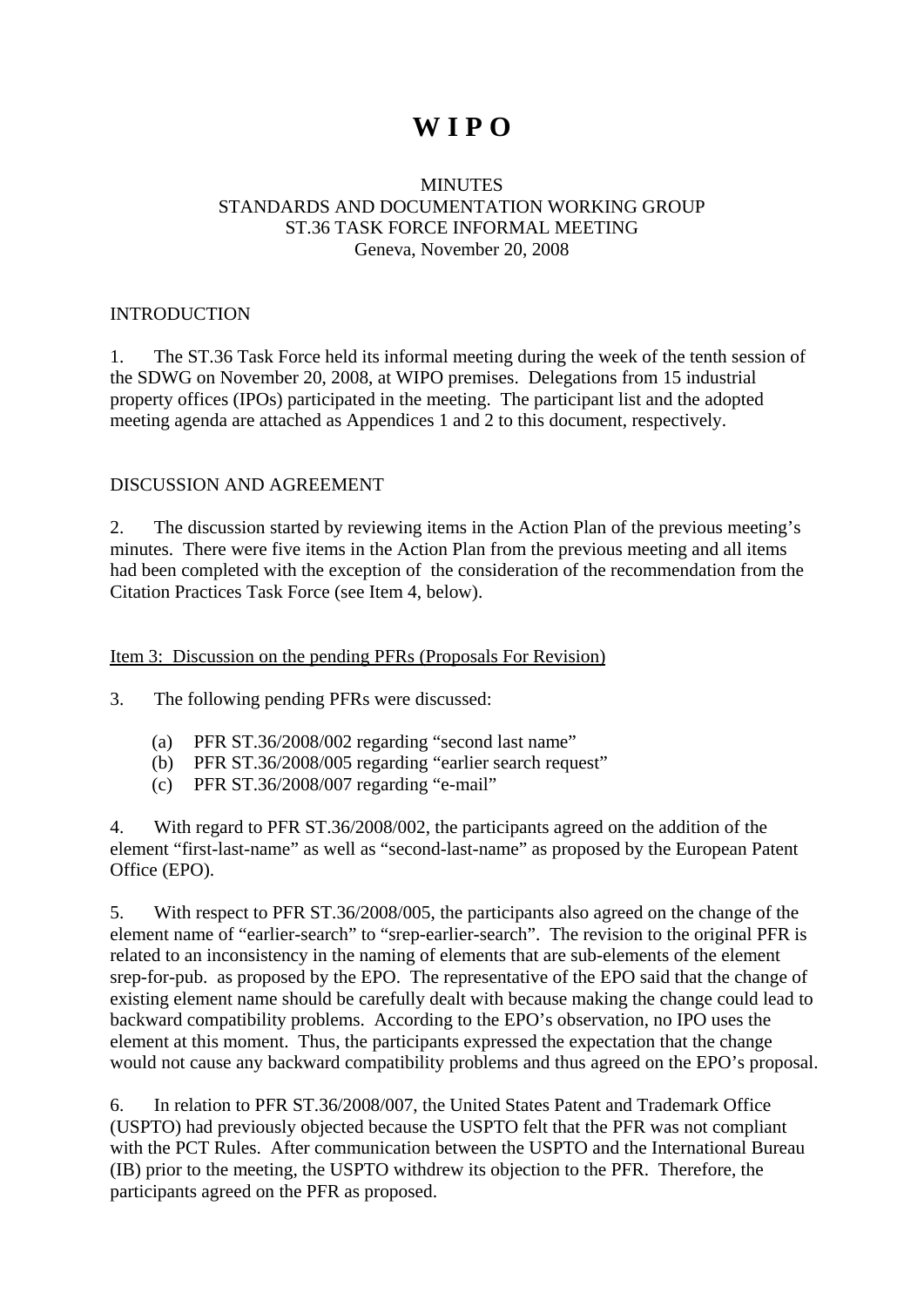## **W I P O**

#### **MINUTES** STANDARDS AND DOCUMENTATION WORKING GROUP ST.36 TASK FORCE INFORMAL MEETING Geneva, November 20, 2008

#### INTRODUCTION

1. The ST.36 Task Force held its informal meeting during the week of the tenth session of the SDWG on November 20, 2008, at WIPO premises. Delegations from 15 industrial property offices (IPOs) participated in the meeting. The participant list and the adopted meeting agenda are attached as Appendices 1 and 2 to this document, respectively.

#### DISCUSSION AND AGREEMENT

2. The discussion started by reviewing items in the Action Plan of the previous meeting's minutes. There were five items in the Action Plan from the previous meeting and all items had been completed with the exception of the consideration of the recommendation from the Citation Practices Task Force (see Item 4, below).

#### Item 3: Discussion on the pending PFRs (Proposals For Revision)

3. The following pending PFRs were discussed:

- (a) PFR ST.36/2008/002 regarding "second last name"
- (b) PFR ST.36/2008/005 regarding "earlier search request"
- (c) PFR ST.36/2008/007 regarding "e-mail"

4. With regard to PFR ST.36/2008/002, the participants agreed on the addition of the element "first-last-name" as well as "second-last-name" as proposed by the European Patent Office (EPO).

5. With respect to PFR ST.36/2008/005, the participants also agreed on the change of the element name of "earlier-search" to "srep-earlier-search". The revision to the original PFR is related to an inconsistency in the naming of elements that are sub-elements of the element srep-for-pub. as proposed by the EPO. The representative of the EPO said that the change of existing element name should be carefully dealt with because making the change could lead to backward compatibility problems. According to the EPO's observation, no IPO uses the element at this moment. Thus, the participants expressed the expectation that the change would not cause any backward compatibility problems and thus agreed on the EPO's proposal.

6. In relation to PFR ST.36/2008/007, the United States Patent and Trademark Office (USPTO) had previously objected because the USPTO felt that the PFR was not compliant with the PCT Rules. After communication between the USPTO and the International Bureau (IB) prior to the meeting, the USPTO withdrew its objection to the PFR. Therefore, the participants agreed on the PFR as proposed.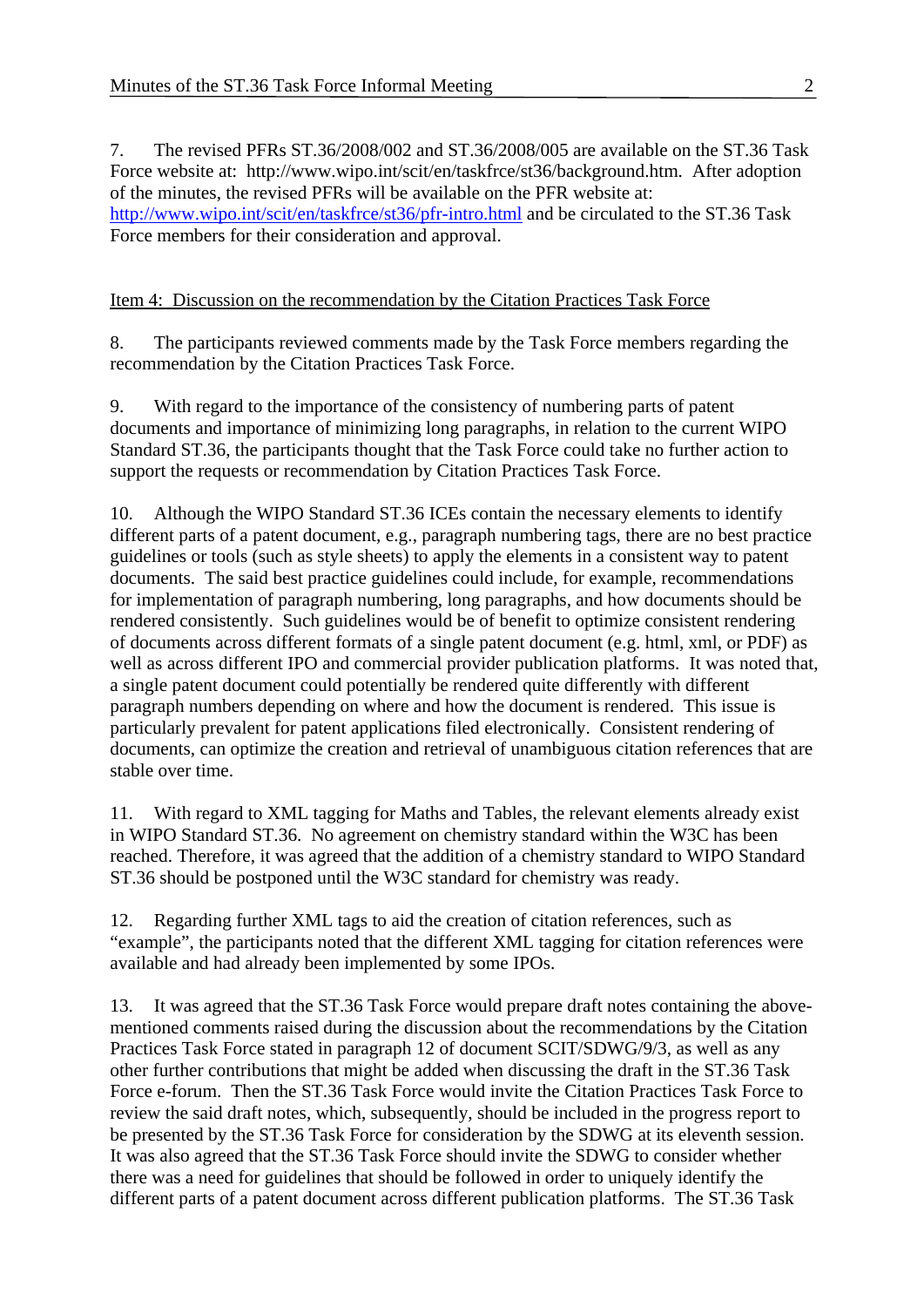7. The revised PFRs ST.36/2008/002 and ST.36/2008/005 are available on the ST.36 Task Force website at: http://www.wipo.int/scit/en/taskfrce/st36/background.htm. After adoption of the minutes, the revised PFRs will be available on the PFR website at: <http://www.wipo.int/scit/en/taskfrce/st36/pfr-intro.html>and be circulated to the ST.36 Task Force members for their consideration and approval.

#### Item 4: Discussion on the recommendation by the Citation Practices Task Force

8. The participants reviewed comments made by the Task Force members regarding the recommendation by the Citation Practices Task Force.

9. With regard to the importance of the consistency of numbering parts of patent documents and importance of minimizing long paragraphs, in relation to the current WIPO Standard ST.36, the participants thought that the Task Force could take no further action to support the requests or recommendation by Citation Practices Task Force.

10. Although the WIPO Standard ST.36 ICEs contain the necessary elements to identify different parts of a patent document, e.g., paragraph numbering tags, there are no best practice guidelines or tools (such as style sheets) to apply the elements in a consistent way to patent documents. The said best practice guidelines could include, for example, recommendations for implementation of paragraph numbering, long paragraphs, and how documents should be rendered consistently. Such guidelines would be of benefit to optimize consistent rendering of documents across different formats of a single patent document (e.g. html, xml, or PDF) as well as across different IPO and commercial provider publication platforms. It was noted that, a single patent document could potentially be rendered quite differently with different paragraph numbers depending on where and how the document is rendered. This issue is particularly prevalent for patent applications filed electronically. Consistent rendering of documents, can optimize the creation and retrieval of unambiguous citation references that are stable over time.

11. With regard to XML tagging for Maths and Tables, the relevant elements already exist in WIPO Standard ST.36. No agreement on chemistry standard within the W3C has been reached. Therefore, it was agreed that the addition of a chemistry standard to WIPO Standard ST.36 should be postponed until the W3C standard for chemistry was ready.

12. Regarding further XML tags to aid the creation of citation references, such as "example", the participants noted that the different XML tagging for citation references were available and had already been implemented by some IPOs.

13. It was agreed that the ST.36 Task Force would prepare draft notes containing the abovementioned comments raised during the discussion about the recommendations by the Citation Practices Task Force stated in paragraph 12 of document SCIT/SDWG/9/3, as well as any other further contributions that might be added when discussing the draft in the ST.36 Task Force e-forum. Then the ST.36 Task Force would invite the Citation Practices Task Force to review the said draft notes, which, subsequently, should be included in the progress report to be presented by the ST.36 Task Force for consideration by the SDWG at its eleventh session. It was also agreed that the ST.36 Task Force should invite the SDWG to consider whether there was a need for guidelines that should be followed in order to uniquely identify the different parts of a patent document across different publication platforms. The ST.36 Task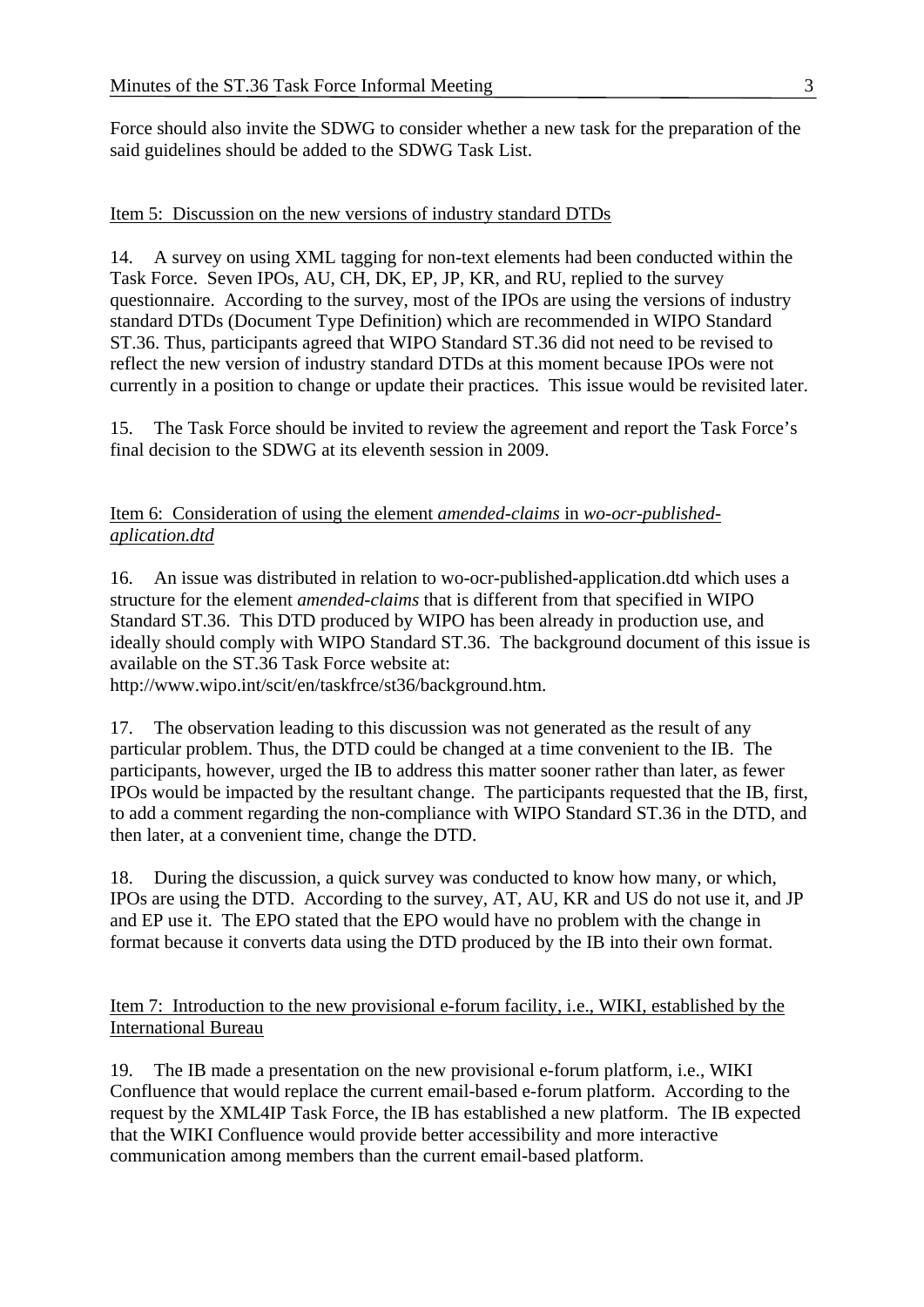Force should also invite the SDWG to consider whether a new task for the preparation of the said guidelines should be added to the SDWG Task List.

#### Item 5: Discussion on the new versions of industry standard DTDs

14. A survey on using XML tagging for non-text elements had been conducted within the Task Force. Seven IPOs, AU, CH, DK, EP, JP, KR, and RU, replied to the survey questionnaire. According to the survey, most of the IPOs are using the versions of industry standard DTDs (Document Type Definition) which are recommended in WIPO Standard ST.36. Thus, participants agreed that WIPO Standard ST.36 did not need to be revised to reflect the new version of industry standard DTDs at this moment because IPOs were not currently in a position to change or update their practices. This issue would be revisited later.

15. The Task Force should be invited to review the agreement and report the Task Force's final decision to the SDWG at its eleventh session in 2009.

#### Item 6: Consideration of using the element *amended-claims* in *wo-ocr-publishedaplication.dtd*

16. An issue was distributed in relation to wo-ocr-published-application.dtd which uses a structure for the element *amended-claims* that is different from that specified in WIPO Standard ST.36. This DTD produced by WIPO has been already in production use, and ideally should comply with WIPO Standard ST.36. The background document of this issue is available on the ST.36 Task Force website at:

http://www.wipo.int/scit/en/taskfrce/st36/background.htm.

17. The observation leading to this discussion was not generated as the result of any particular problem. Thus, the DTD could be changed at a time convenient to the IB. The participants, however, urged the IB to address this matter sooner rather than later, as fewer IPOs would be impacted by the resultant change. The participants requested that the IB, first, to add a comment regarding the non-compliance with WIPO Standard ST.36 in the DTD, and then later, at a convenient time, change the DTD.

18. During the discussion, a quick survey was conducted to know how many, or which, IPOs are using the DTD. According to the survey, AT, AU, KR and US do not use it, and JP and EP use it. The EPO stated that the EPO would have no problem with the change in format because it converts data using the DTD produced by the IB into their own format.

Item 7: Introduction to the new provisional e-forum facility, i.e., WIKI, established by the International Bureau

19. The IB made a presentation on the new provisional e-forum platform, i.e., WIKI Confluence that would replace the current email-based e-forum platform. According to the request by the XML4IP Task Force, the IB has established a new platform. The IB expected that the WIKI Confluence would provide better accessibility and more interactive communication among members than the current email-based platform.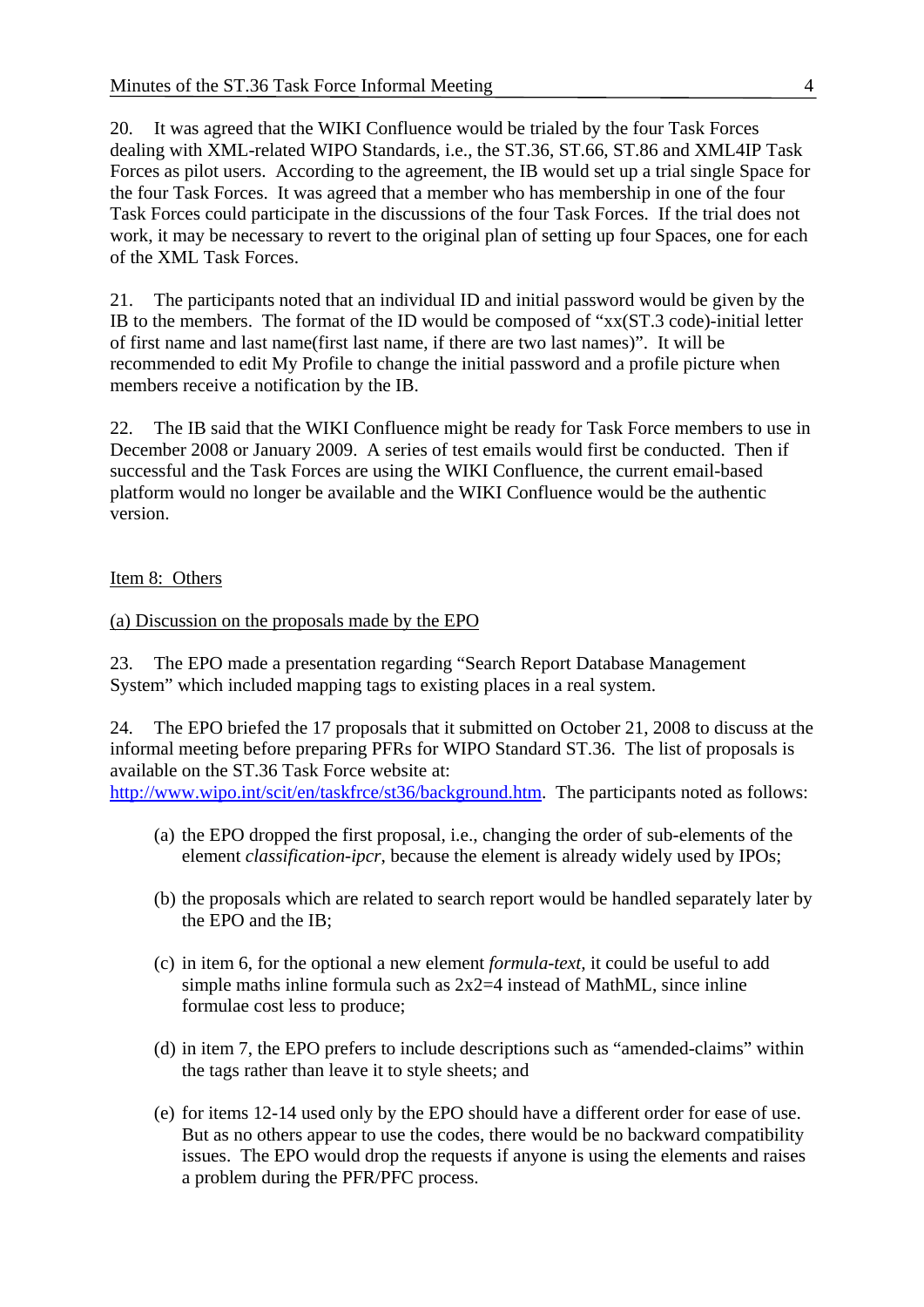20. It was agreed that the WIKI Confluence would be trialed by the four Task Forces dealing with XML-related WIPO Standards, i.e., the ST.36, ST.66, ST.86 and XML4IP Task Forces as pilot users. According to the agreement, the IB would set up a trial single Space for the four Task Forces. It was agreed that a member who has membership in one of the four Task Forces could participate in the discussions of the four Task Forces. If the trial does not work, it may be necessary to revert to the original plan of setting up four Spaces, one for each of the XML Task Forces.

21. The participants noted that an individual ID and initial password would be given by the IB to the members. The format of the ID would be composed of "xx(ST.3 code)-initial letter of first name and last name(first last name, if there are two last names)". It will be recommended to edit My Profile to change the initial password and a profile picture when members receive a notification by the IB.

22. The IB said that the WIKI Confluence might be ready for Task Force members to use in December 2008 or January 2009. A series of test emails would first be conducted. Then if successful and the Task Forces are using the WIKI Confluence, the current email-based platform would no longer be available and the WIKI Confluence would be the authentic version.

#### Item 8: Others

#### (a) Discussion on the proposals made by the EPO

23. The EPO made a presentation regarding "Search Report Database Management System" which included mapping tags to existing places in a real system.

24. The EPO briefed the 17 proposals that it submitted on October 21, 2008 to discuss at the informal meeting before preparing PFRs for WIPO Standard ST.36. The list of proposals is available on the ST.36 Task Force website at: <http://www.wipo.int/scit/en/taskfrce/st36/background.htm>. The participants noted as follows:

- (a) the EPO dropped the first proposal, i.e., changing the order of sub-elements of the element *classification-ipcr*, because the element is already widely used by IPOs;
- (b) the proposals which are related to search report would be handled separately later by the EPO and the IB;
- (c) in item 6, for the optional a new element *formula-text,* it could be useful to add simple maths inline formula such as  $2x2=4$  instead of MathML, since inline formulae cost less to produce;
- (d) in item 7, the EPO prefers to include descriptions such as "amended-claims" within the tags rather than leave it to style sheets; and
- (e) for items 12-14 used only by the EPO should have a different order for ease of use. But as no others appear to use the codes, there would be no backward compatibility issues. The EPO would drop the requests if anyone is using the elements and raises a problem during the PFR/PFC process.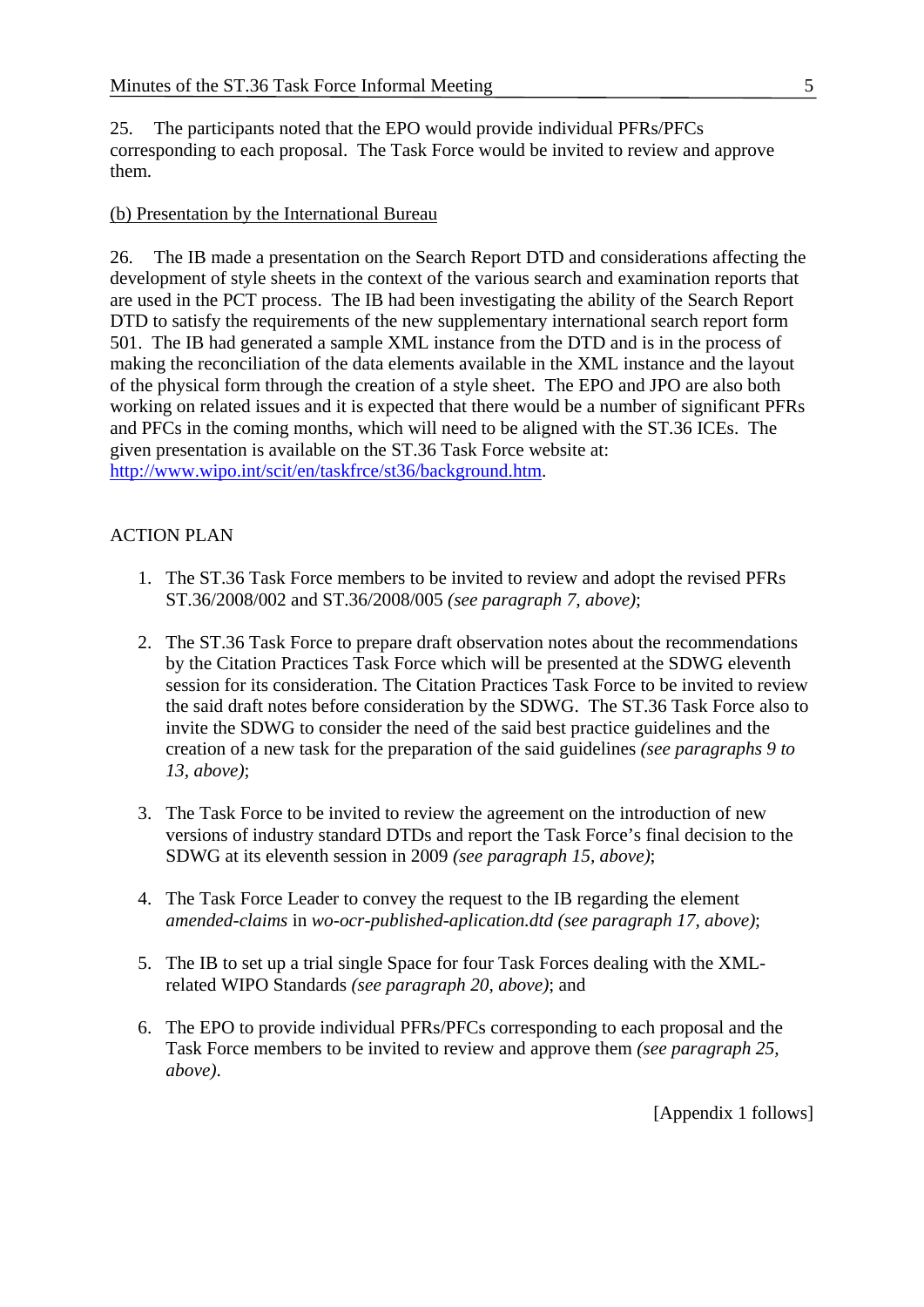25. The participants noted that the EPO would provide individual PFRs/PFCs corresponding to each proposal. The Task Force would be invited to review and approve them.

#### (b) Presentation by the International Bureau

26. The IB made a presentation on the Search Report DTD and considerations affecting the development of style sheets in the context of the various search and examination reports that are used in the PCT process. The IB had been investigating the ability of the Search Report DTD to satisfy the requirements of the new supplementary international search report form 501. The IB had generated a sample XML instance from the DTD and is in the process of making the reconciliation of the data elements available in the XML instance and the layout of the physical form through the creation of a style sheet. The EPO and JPO are also both working on related issues and it is expected that there would be a number of significant PFRs and PFCs in the coming months, which will need to be aligned with the ST.36 ICEs. The given presentation is available on the ST.36 Task Force website at: <http://www.wipo.int/scit/en/taskfrce/st36/background.htm>.

#### ACTION PLAN

- 1. The ST.36 Task Force members to be invited to review and adopt the revised PFRs ST.36/2008/002 and ST.36/2008/005 *(see paragraph 7, above)*;
- 2. The ST.36 Task Force to prepare draft observation notes about the recommendations by the Citation Practices Task Force which will be presented at the SDWG eleventh session for its consideration. The Citation Practices Task Force to be invited to review the said draft notes before consideration by the SDWG. The ST.36 Task Force also to invite the SDWG to consider the need of the said best practice guidelines and the creation of a new task for the preparation of the said guidelines *(see paragraphs 9 to 13, above)*;
- 3. The Task Force to be invited to review the agreement on the introduction of new versions of industry standard DTDs and report the Task Force's final decision to the SDWG at its eleventh session in 2009 *(see paragraph 15, above)*;
- 4. The Task Force Leader to convey the request to the IB regarding the element *amended-claims* in *wo-ocr-published-aplication.dtd (see paragraph 17, above)*;
- 5. The IB to set up a trial single Space for four Task Forces dealing with the XMLrelated WIPO Standards *(see paragraph 20, above)*; and
- 6. The EPO to provide individual PFRs/PFCs corresponding to each proposal and the Task Force members to be invited to review and approve them *(see paragraph 25, above)*.

[Appendix 1 follows]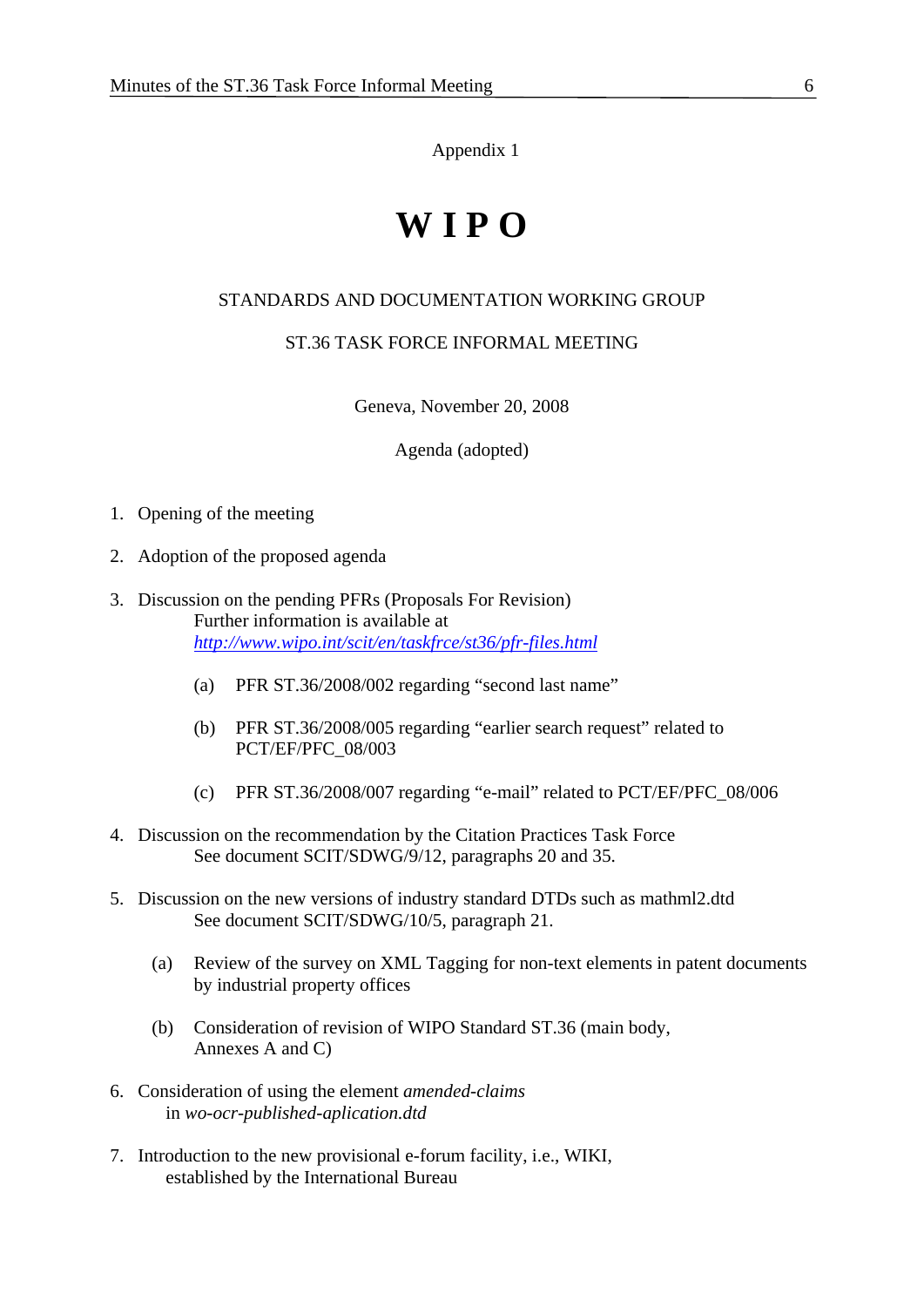Appendix 1

# **W I P O**

#### STANDARDS AND DOCUMENTATION WORKING GROUP

#### ST.36 TASK FORCE INFORMAL MEETING

Geneva, November 20, 2008

Agenda (adopted)

- 1. Opening of the meeting
- 2. Adoption of the proposed agenda
- 3. Discussion on the pending PFRs (Proposals For Revision) Further information is available at *<http://www.wipo.int/scit/en/taskfrce/st36/pfr-files.html>*
	- (a) PFR ST.36/2008/002 regarding "second last name"
	- (b) PFR ST.36/2008/005 regarding "earlier search request" related to PCT/EF/PFC\_08/003
	- (c) PFR ST.36/2008/007 regarding "e-mail" related to PCT/EF/PFC\_08/006
- 4. Discussion on the recommendation by the Citation Practices Task Force See document SCIT/SDWG/9/12, paragraphs 20 and 35.
- 5. Discussion on the new versions of industry standard DTDs such as mathml2.dtd See document SCIT/SDWG/10/5, paragraph 21.
	- (a) Review of the survey on XML Tagging for non-text elements in patent documents by industrial property offices
	- (b) Consideration of revision of WIPO Standard ST.36 (main body, Annexes A and C)
- 6. Consideration of using the element *amended-claims* in *wo-ocr-published-aplication.dtd*
- 7. Introduction to the new provisional e-forum facility, i.e., WIKI, established by the International Bureau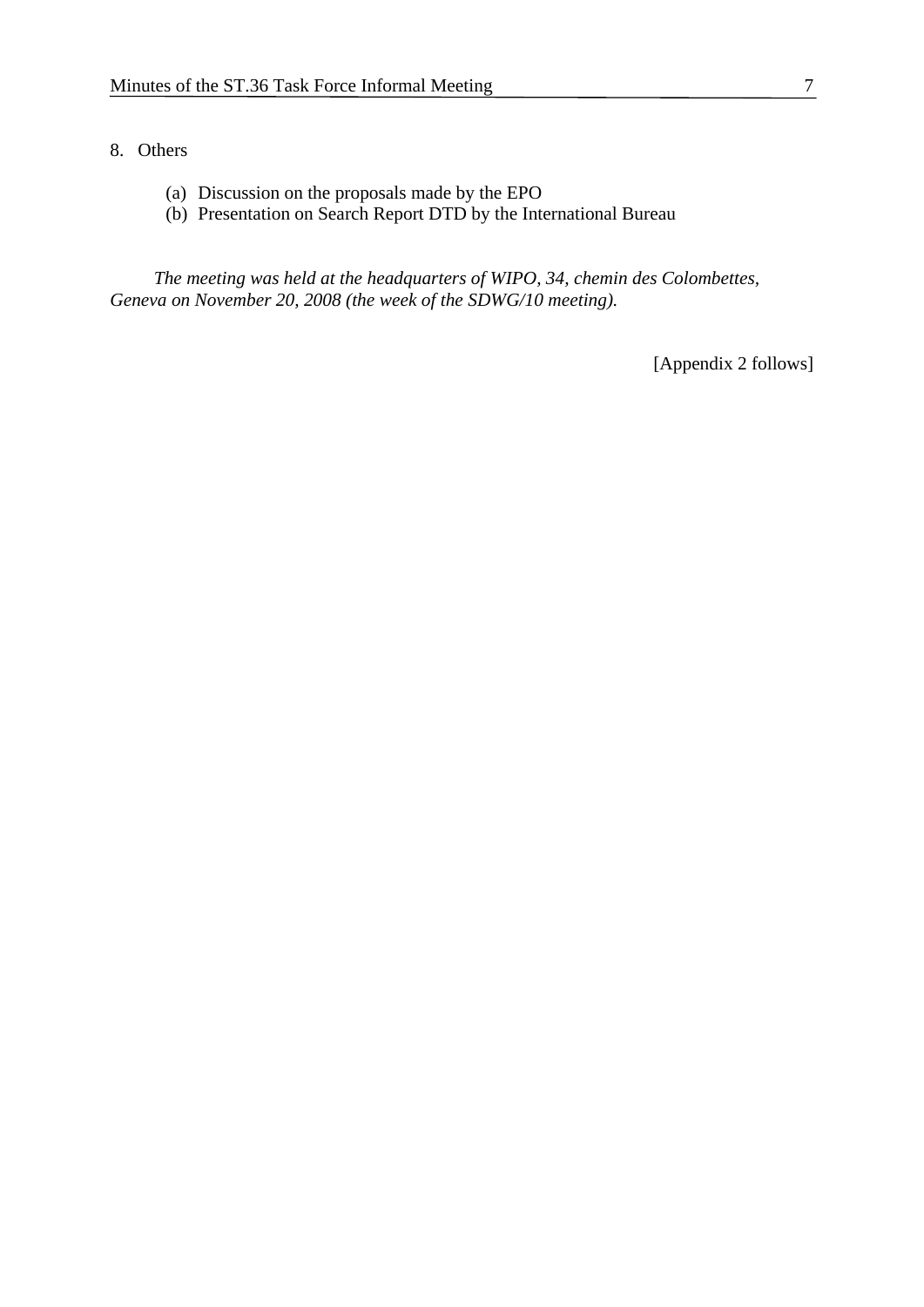#### 8. Others

- (a) Discussion on the proposals made by the EPO
- (b) Presentation on Search Report DTD by the International Bureau

 *The meeting was held at the headquarters of WIPO, 34, chemin des Colombettes, Geneva on November 20, 2008 (the week of the SDWG/10 meeting).* 

[Appendix 2 follows]